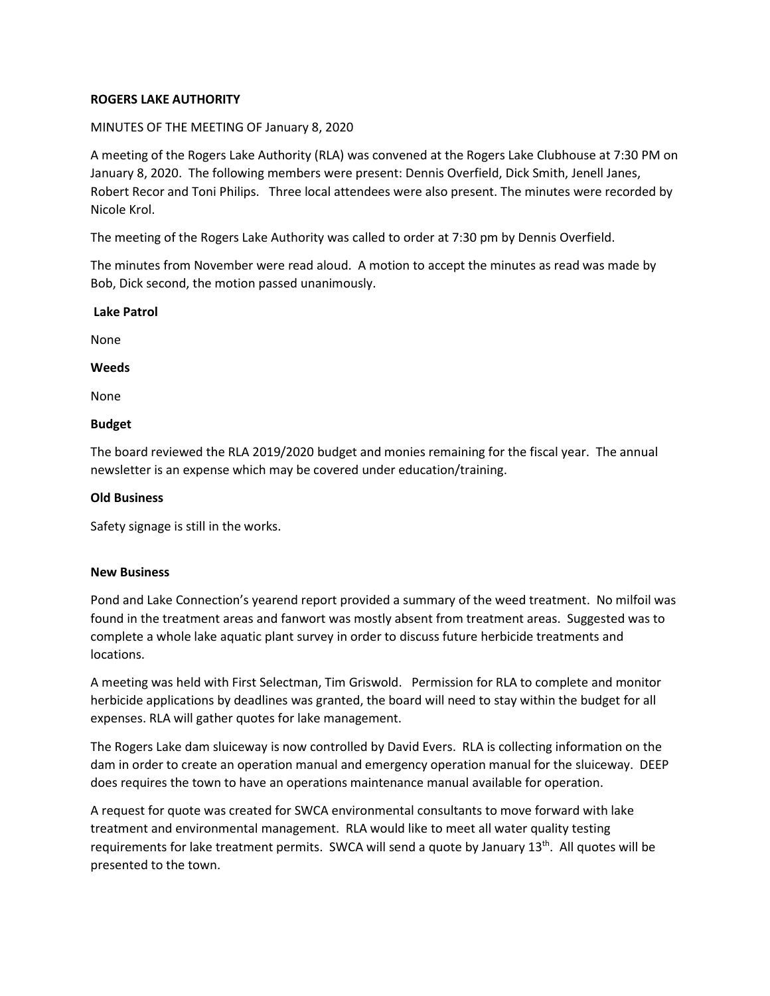# **ROGERS LAKE AUTHORITY**

## MINUTES OF THE MEETING OF January 8, 2020

A meeting of the Rogers Lake Authority (RLA) was convened at the Rogers Lake Clubhouse at 7:30 PM on January 8, 2020. The following members were present: Dennis Overfield, Dick Smith, Jenell Janes, Robert Recor and Toni Philips. Three local attendees were also present. The minutes were recorded by Nicole Krol.

The meeting of the Rogers Lake Authority was called to order at 7:30 pm by Dennis Overfield.

The minutes from November were read aloud. A motion to accept the minutes as read was made by Bob, Dick second, the motion passed unanimously.

#### **Lake Patrol**

None

**Weeds**

None

### **Budget**

The board reviewed the RLA 2019/2020 budget and monies remaining for the fiscal year. The annual newsletter is an expense which may be covered under education/training.

### **Old Business**

Safety signage is still in the works.

#### **New Business**

Pond and Lake Connection's yearend report provided a summary of the weed treatment. No milfoil was found in the treatment areas and fanwort was mostly absent from treatment areas. Suggested was to complete a whole lake aquatic plant survey in order to discuss future herbicide treatments and locations.

A meeting was held with First Selectman, Tim Griswold. Permission for RLA to complete and monitor herbicide applications by deadlines was granted, the board will need to stay within the budget for all expenses. RLA will gather quotes for lake management.

The Rogers Lake dam sluiceway is now controlled by David Evers. RLA is collecting information on the dam in order to create an operation manual and emergency operation manual for the sluiceway. DEEP does requires the town to have an operations maintenance manual available for operation.

A request for quote was created for SWCA environmental consultants to move forward with lake treatment and environmental management. RLA would like to meet all water quality testing requirements for lake treatment permits. SWCA will send a quote by January 13<sup>th</sup>. All quotes will be presented to the town.